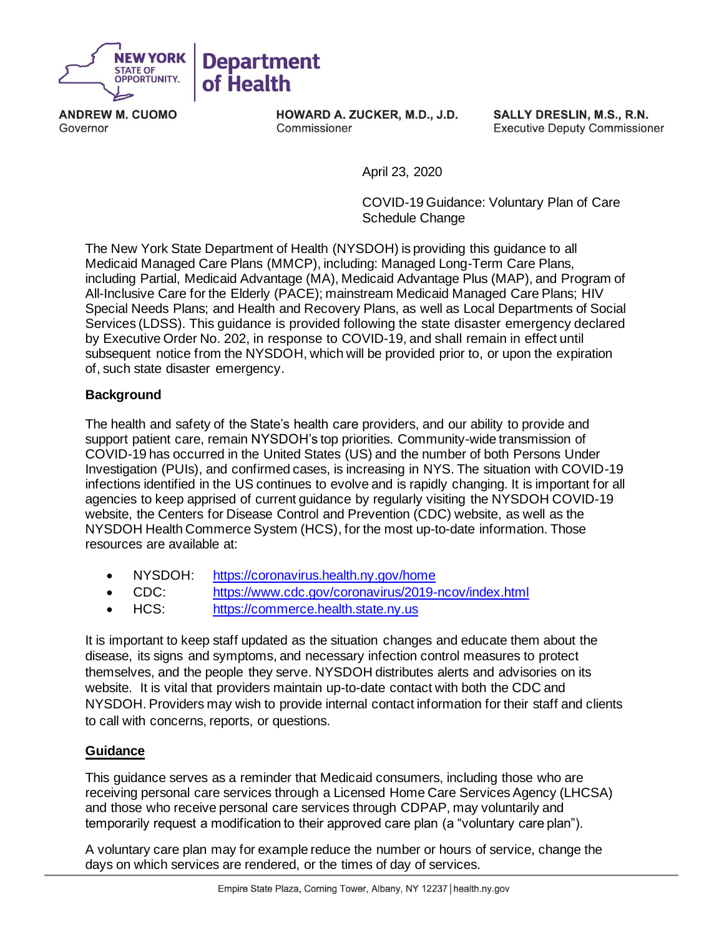

**ANDREW M. CUOMO**  Governor

**HOWARD A. ZUCKER, M.D., J.D.**  Commissioner

**SALLY DRESLIN, M.S., R.N.**  Executive Deputy Commissioner

April 23, 2020

COVID-19 Guidance: Voluntary Plan of Care Schedule Change

The New York State Department of Health (NYSDOH) is providing this guidance to all Medicaid Managed Care Plans (MMCP), including: Managed Long-Term Care Plans, including Partial, Medicaid Advantage (MA), Medicaid Advantage Plus (MAP), and Program of All-Inclusive Care for the Elderly (PACE); mainstream Medicaid Managed Care Plans; HIV Special Needs Plans; and Health and Recovery Plans, as well as Local Departments of Social Services (LDSS). This guidance is provided following the state disaster emergency declared by Executive Order No. 202, in response to COVID-19, and shall remain in effect until subsequent notice from the NYSDOH, which will be provided prior to, or upon the expiration of, such state disaster emergency.

# **Background**

 The health and safety of the State's health care providers, and our ability to provide and support patient care, remain NYSDOH's top priorities. Community-wide transmission of COVID-19 has occurred in the United States (US) and the number of both Persons Under Investigation (PUIs), and confirmed cases, is increasing in NYS. The situation with COVID-19 infections identified in the US continues to evolve and is rapidly changing. It is important for all agencies to keep apprised of current guidance by regularly visiting the NYSDOH COVID-19 website, the Centers for Disease Control and Prevention (CDC) website, as well as the NYSDOH Health Commerce System (HCS), for the most up-to-date information. Those resources are available at:

- NYSDOH: <https://coronavirus.health.ny.gov/home>
- CDC: <https://www.cdc.gov/coronavirus/2019-ncov/index.html>
- HCS: https://commerce.health.state.ny.us

It is important to keep staff updated as the situation changes and educate them about the disease, its signs and symptoms, and necessary infection control measures to protect themselves, and the people they serve. NYSDOH distributes alerts and advisories on its website. It is vital that providers maintain up-to-date contact with both the CDC and NYSDOH. Providers may wish to provide internal contact information for their staff and clients to call with concerns, reports, or questions.

# **Guidance**

 temporarily request a modification to their approved care plan (a "voluntary care plan"). This guidance serves as a reminder that Medicaid consumers, including those who are receiving personal care services through a Licensed Home Care Services Agency (LHCSA) and those who receive personal care services through CDPAP, may voluntarily and

A voluntary care plan may for example reduce the number or hours of service, change the days on which services are rendered, or the times of day of services.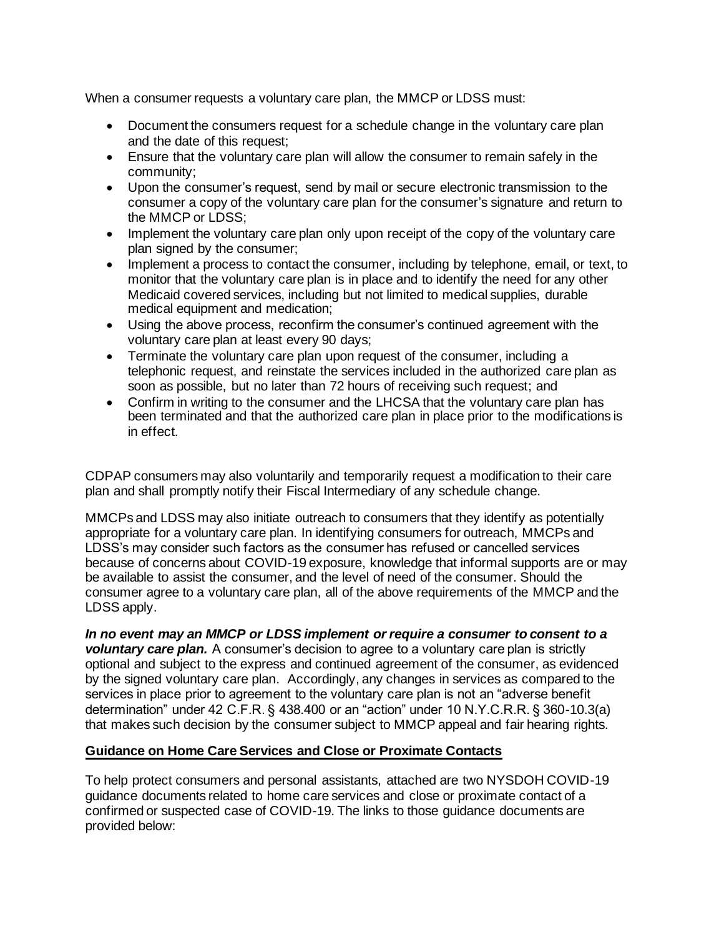When a consumer requests a voluntary care plan, the MMCP or LDSS must:

- Document the consumers request for a schedule change in the voluntary care plan and the date of this request;
- Ensure that the voluntary care plan will allow the consumer to remain safely in the community;
- Upon the consumer's request, send by mail or secure electronic transmission to the consumer a copy of the voluntary care plan for the consumer's signature and return to the MMCP or LDSS;
- Implement the voluntary care plan only upon receipt of the copy of the voluntary care plan signed by the consumer;
- Implement a process to contact the consumer, including by telephone, email, or text, to monitor that the voluntary care plan is in place and to identify the need for any other Medicaid covered services, including but not limited to medical supplies, durable medical equipment and medication;
- • Using the above process, reconfirm the consumer's continued agreement with the voluntary care plan at least every 90 days;
- Terminate the voluntary care plan upon request of the consumer, including a telephonic request, and reinstate the services included in the authorized care plan as soon as possible, but no later than 72 hours of receiving such request; and
- Confirm in writing to the consumer and the LHCSA that the voluntary care plan has been terminated and that the authorized care plan in place prior to the modifications is in effect.

CDPAP consumers may also voluntarily and temporarily request a modification to their care plan and shall promptly notify their Fiscal Intermediary of any schedule change.

 LDSS's may consider such factors as the consumer has refused or cancelled services MMCPs and LDSS may also initiate outreach to consumers that they identify as potentially appropriate for a voluntary care plan. In identifying consumers for outreach, MMCPs and because of concerns about COVID-19 exposure, knowledge that informal supports are or may be available to assist the consumer, and the level of need of the consumer. Should the consumer agree to a voluntary care plan, all of the above requirements of the MMCP and the LDSS apply.

 *voluntary care plan.* A consumer's decision to agree to a voluntary care plan is strictly services in place prior to agreement to the voluntary care plan is not an "adverse benefit determination" under 42 C.F.R. § 438.400 or an "action" under 10 N.Y.C.R.R. § 360-10.3(a) *In no event may an MMCP or LDSS implement or require a consumer to consent to a*  optional and subject to the express and continued agreement of the consumer, as evidenced by the signed voluntary care plan. Accordingly, any changes in services as compared to the that makes such decision by the consumer subject to MMCP appeal and fair hearing rights.

# **Guidance on Home Care Services and Close or Proximate Contacts**

To help protect consumers and personal assistants, attached are two NYSDOH COVID-19 guidance documents related to home care services and close or proximate contact of a confirmed or suspected case of COVID-19. The links to those guidance documents are provided below: